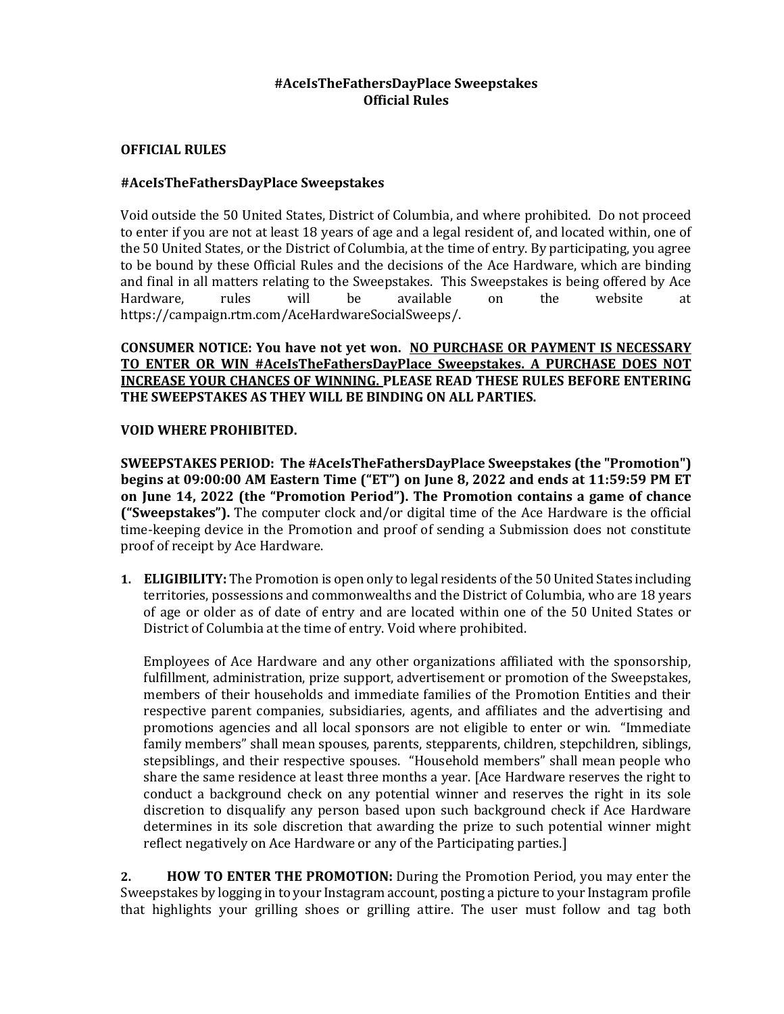### **#AceIsTheFathersDayPlace Sweepstakes Official Rules**

### **OFFICIAL RULES**

### **#AceIsTheFathersDayPlace Sweepstakes**

Void outside the 50 United States, District of Columbia, and where prohibited. Do not proceed to enter if you are not at least 18 years of age and a legal resident of, and located within, one of the 50 United States, or the District of Columbia, at the time of entry. By participating, you agree to be bound by these Official Rules and the decisions of the Ace Hardware, which are binding and final in all matters relating to the Sweepstakes. This Sweepstakes is being offered by Ace Hardware, rules will be available on the website at https://campaign.rtm.com/AceHardwareSocialSweeps/.

**CONSUMER NOTICE: You have not yet won. NO PURCHASE OR PAYMENT IS NECESSARY TO ENTER OR WIN #AceIsTheFathersDayPlace Sweepstakes. A PURCHASE DOES NOT INCREASE YOUR CHANCES OF WINNING. PLEASE READ THESE RULES BEFORE ENTERING THE SWEEPSTAKES AS THEY WILL BE BINDING ON ALL PARTIES.**

### **VOID WHERE PROHIBITED.**

**SWEEPSTAKES PERIOD: The #AceIsTheFathersDayPlace Sweepstakes (the "Promotion") begins at 09:00:00 AM Eastern Time ("ET") on June 8, 2022 and ends at 11:59:59 PM ET on June 14, 2022 (the "Promotion Period"). The Promotion contains a game of chance ("Sweepstakes").** The computer clock and/or digital time of the Ace Hardware is the official time-keeping device in the Promotion and proof of sending a Submission does not constitute proof of receipt by Ace Hardware.

**1. ELIGIBILITY:** The Promotion is open only to legal residents of the 50 United States including territories, possessions and commonwealths and the District of Columbia, who are 18 years of age or older as of date of entry and are located within one of the 50 United States or District of Columbia at the time of entry. Void where prohibited.

Employees of Ace Hardware and any other organizations affiliated with the sponsorship, fulfillment, administration, prize support, advertisement or promotion of the Sweepstakes, members of their households and immediate families of the Promotion Entities and their respective parent companies, subsidiaries, agents, and affiliates and the advertising and promotions agencies and all local sponsors are not eligible to enter or win. "Immediate family members" shall mean spouses, parents, stepparents, children, stepchildren, siblings, stepsiblings, and their respective spouses. "Household members" shall mean people who share the same residence at least three months a year. [Ace Hardware reserves the right to conduct a background check on any potential winner and reserves the right in its sole discretion to disqualify any person based upon such background check if Ace Hardware determines in its sole discretion that awarding the prize to such potential winner might reflect negatively on Ace Hardware or any of the Participating parties.]

**2. HOW TO ENTER THE PROMOTION:** During the Promotion Period, you may enter the Sweepstakes by logging in to your Instagram account, posting a picture to your Instagram profile that highlights your grilling shoes or grilling attire. The user must follow and tag both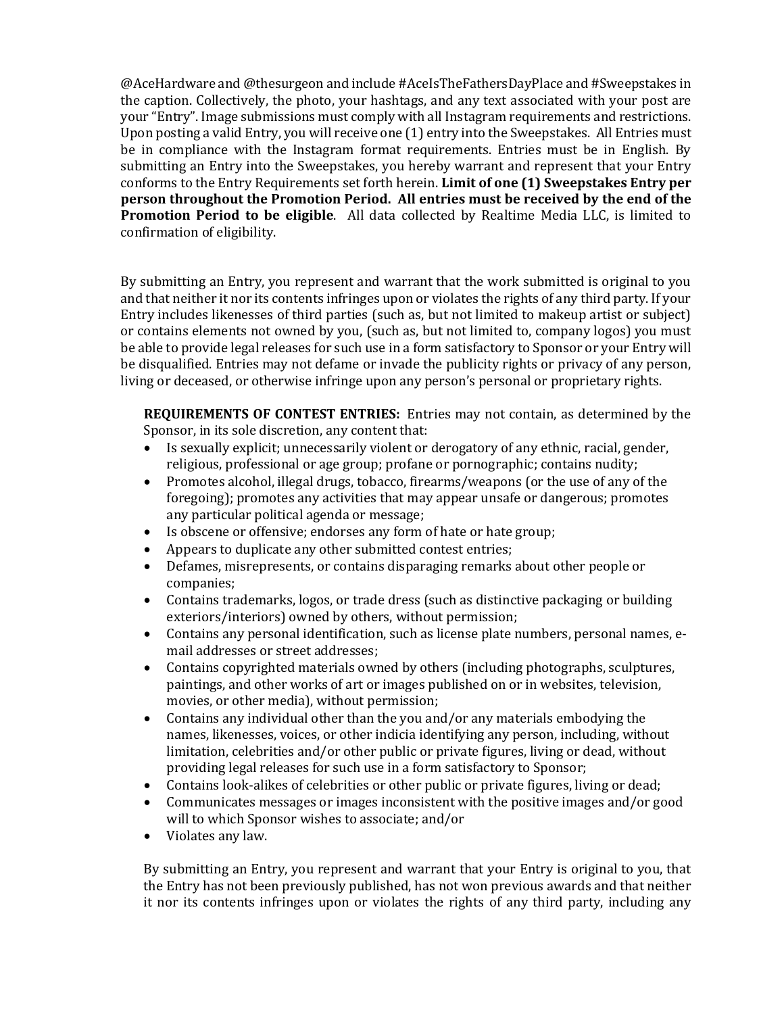@AceHardware and @thesurgeon and include #AceIsTheFathersDayPlace and #Sweepstakes in the caption. Collectively, the photo, your hashtags, and any text associated with your post are your "Entry". Image submissions must comply with all Instagram requirements and restrictions. Upon posting a valid Entry, you will receive one (1) entry into the Sweepstakes. All Entries must be in compliance with the Instagram format requirements. Entries must be in English. By submitting an Entry into the Sweepstakes, you hereby warrant and represent that your Entry conforms to the Entry Requirements set forth herein. **Limit of one (1) Sweepstakes Entry per person throughout the Promotion Period. All entries must be received by the end of the Promotion Period to be eligible**. All data collected by Realtime Media LLC, is limited to confirmation of eligibility.

By submitting an Entry, you represent and warrant that the work submitted is original to you and that neither it nor its contents infringes upon or violates the rights of any third party. If your Entry includes likenesses of third parties (such as, but not limited to makeup artist or subject) or contains elements not owned by you, (such as, but not limited to, company logos) you must be able to provide legal releases for such use in a form satisfactory to Sponsor or your Entry will be disqualified. Entries may not defame or invade the publicity rights or privacy of any person, living or deceased, or otherwise infringe upon any person's personal or proprietary rights.

**REQUIREMENTS OF CONTEST ENTRIES:** Entries may not contain, as determined by the Sponsor, in its sole discretion, any content that:

- Is sexually explicit; unnecessarily violent or derogatory of any ethnic, racial, gender, religious, professional or age group; profane or pornographic; contains nudity;
- Promotes alcohol, illegal drugs, tobacco, firearms/weapons (or the use of any of the foregoing); promotes any activities that may appear unsafe or dangerous; promotes any particular political agenda or message;
- Is obscene or offensive; endorses any form of hate or hate group;
- Appears to duplicate any other submitted contest entries;
- Defames, misrepresents, or contains disparaging remarks about other people or companies;
- Contains trademarks, logos, or trade dress (such as distinctive packaging or building exteriors/interiors) owned by others, without permission;
- Contains any personal identification, such as license plate numbers, personal names, email addresses or street addresses;
- Contains copyrighted materials owned by others (including photographs, sculptures, paintings, and other works of art or images published on or in websites, television, movies, or other media), without permission;
- Contains any individual other than the you and/or any materials embodying the names, likenesses, voices, or other indicia identifying any person, including, without limitation, celebrities and/or other public or private figures, living or dead, without providing legal releases for such use in a form satisfactory to Sponsor;
- Contains look-alikes of celebrities or other public or private figures, living or dead;
- Communicates messages or images inconsistent with the positive images and/or good will to which Sponsor wishes to associate; and/or
- Violates any law.

By submitting an Entry, you represent and warrant that your Entry is original to you, that the Entry has not been previously published, has not won previous awards and that neither it nor its contents infringes upon or violates the rights of any third party, including any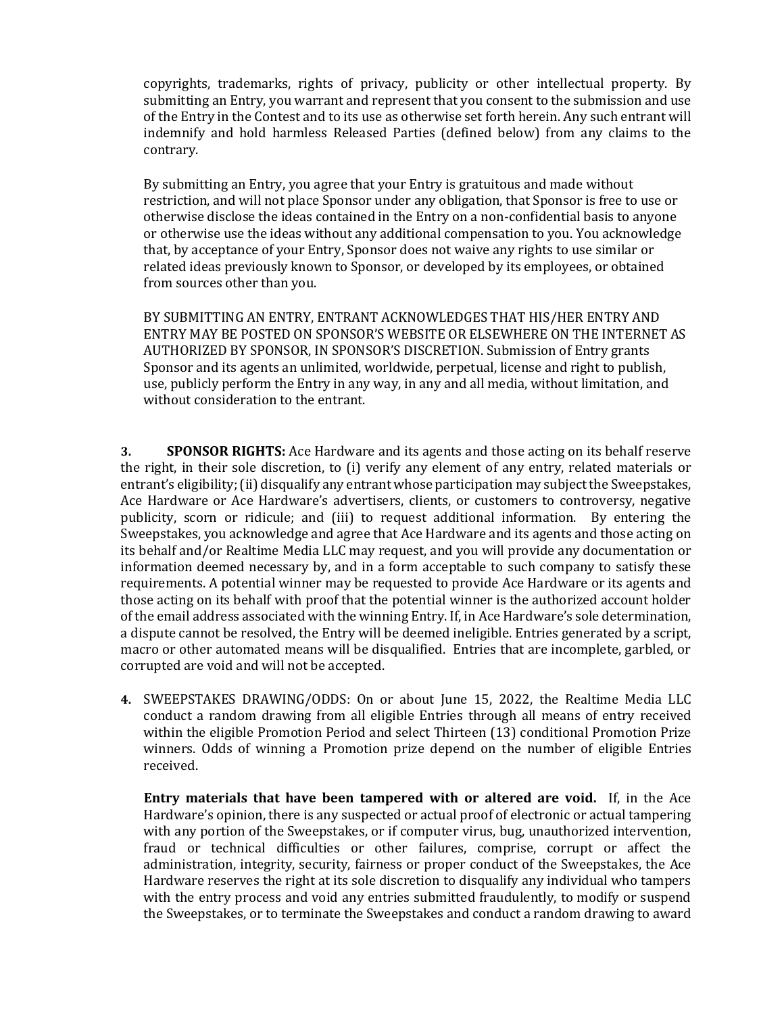copyrights, trademarks, rights of privacy, publicity or other intellectual property. By submitting an Entry, you warrant and represent that you consent to the submission and use of the Entry in the Contest and to its use as otherwise set forth herein. Any such entrant will indemnify and hold harmless Released Parties (defined below) from any claims to the contrary.

By submitting an Entry, you agree that your Entry is gratuitous and made without restriction, and will not place Sponsor under any obligation, that Sponsor is free to use or otherwise disclose the ideas contained in the Entry on a non-confidential basis to anyone or otherwise use the ideas without any additional compensation to you. You acknowledge that, by acceptance of your Entry, Sponsor does not waive any rights to use similar or related ideas previously known to Sponsor, or developed by its employees, or obtained from sources other than you.

BY SUBMITTING AN ENTRY, ENTRANT ACKNOWLEDGES THAT HIS/HER ENTRY AND ENTRY MAY BE POSTED ON SPONSOR'S WEBSITE OR ELSEWHERE ON THE INTERNET AS AUTHORIZED BY SPONSOR, IN SPONSOR'S DISCRETION. Submission of Entry grants Sponsor and its agents an unlimited, worldwide, perpetual, license and right to publish, use, publicly perform the Entry in any way, in any and all media, without limitation, and without consideration to the entrant.

**3. SPONSOR RIGHTS:** Ace Hardware and its agents and those acting on its behalf reserve the right, in their sole discretion, to (i) verify any element of any entry, related materials or entrant's eligibility; (ii) disqualify any entrant whose participation may subject the Sweepstakes, Ace Hardware or Ace Hardware's advertisers, clients, or customers to controversy, negative publicity, scorn or ridicule; and (iii) to request additional information. By entering the Sweepstakes, you acknowledge and agree that Ace Hardware and its agents and those acting on its behalf and/or Realtime Media LLC may request, and you will provide any documentation or information deemed necessary by, and in a form acceptable to such company to satisfy these requirements. A potential winner may be requested to provide Ace Hardware or its agents and those acting on its behalf with proof that the potential winner is the authorized account holder of the email address associated with the winning Entry. If, in Ace Hardware's sole determination, a dispute cannot be resolved, the Entry will be deemed ineligible. Entries generated by a script, macro or other automated means will be disqualified. Entries that are incomplete, garbled, or corrupted are void and will not be accepted.

**4.** SWEEPSTAKES DRAWING/ODDS: On or about June 15, 2022, the Realtime Media LLC conduct a random drawing from all eligible Entries through all means of entry received within the eligible Promotion Period and select Thirteen (13) conditional Promotion Prize winners. Odds of winning a Promotion prize depend on the number of eligible Entries received.

**Entry materials that have been tampered with or altered are void.** If, in the Ace Hardware's opinion, there is any suspected or actual proof of electronic or actual tampering with any portion of the Sweepstakes, or if computer virus, bug, unauthorized intervention, fraud or technical difficulties or other failures, comprise, corrupt or affect the administration, integrity, security, fairness or proper conduct of the Sweepstakes, the Ace Hardware reserves the right at its sole discretion to disqualify any individual who tampers with the entry process and void any entries submitted fraudulently, to modify or suspend the Sweepstakes, or to terminate the Sweepstakes and conduct a random drawing to award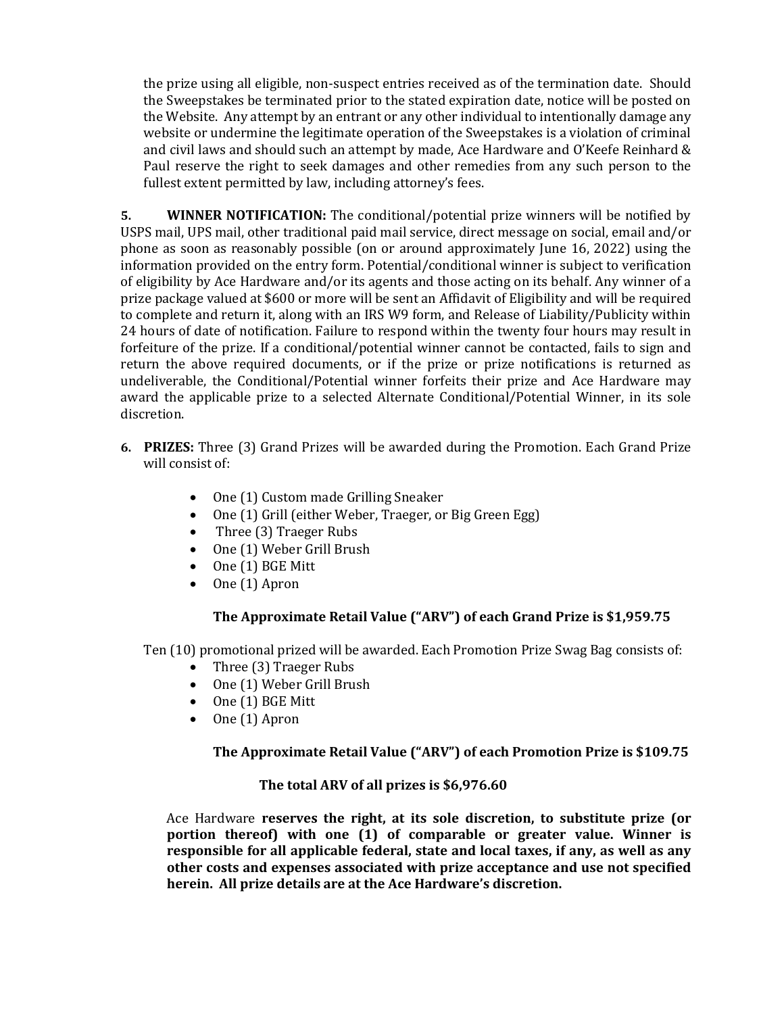the prize using all eligible, non-suspect entries received as of the termination date. Should the Sweepstakes be terminated prior to the stated expiration date, notice will be posted on the Website. Any attempt by an entrant or any other individual to intentionally damage any website or undermine the legitimate operation of the Sweepstakes is a violation of criminal and civil laws and should such an attempt by made, Ace Hardware and O'Keefe Reinhard & Paul reserve the right to seek damages and other remedies from any such person to the fullest extent permitted by law, including attorney's fees.

**5. WINNER NOTIFICATION:** The conditional/potential prize winners will be notified by USPS mail, UPS mail, other traditional paid mail service, direct message on social, email and/or phone as soon as reasonably possible (on or around approximately June 16, 2022) using the information provided on the entry form. Potential/conditional winner is subject to verification of eligibility by Ace Hardware and/or its agents and those acting on its behalf. Any winner of a prize package valued at \$600 or more will be sent an Affidavit of Eligibility and will be required to complete and return it, along with an IRS W9 form, and Release of Liability/Publicity within 24 hours of date of notification. Failure to respond within the twenty four hours may result in forfeiture of the prize. If a conditional/potential winner cannot be contacted, fails to sign and return the above required documents, or if the prize or prize notifications is returned as undeliverable, the Conditional/Potential winner forfeits their prize and Ace Hardware may award the applicable prize to a selected Alternate Conditional/Potential Winner, in its sole discretion.

- **6. PRIZES:** Three (3) Grand Prizes will be awarded during the Promotion. Each Grand Prize will consist of:
	- One (1) Custom made Grilling Sneaker
	- One (1) Grill (either Weber, Traeger, or Big Green Egg)
	- Three (3) Traeger Rubs
	- One (1) Weber Grill Brush
	- One (1) BGE Mitt
	- One (1) Apron

# **The Approximate Retail Value ("ARV") of each Grand Prize is \$1,959.75**

Ten (10) promotional prized will be awarded. Each Promotion Prize Swag Bag consists of:

- Three (3) Traeger Rubs
- One (1) Weber Grill Brush
- One (1) BGE Mitt
- One (1) Apron

## **The Approximate Retail Value ("ARV") of each Promotion Prize is \$109.75**

## **The total ARV of all prizes is \$6,976.60**

Ace Hardware **reserves the right, at its sole discretion, to substitute prize (or portion thereof) with one (1) of comparable or greater value. Winner is responsible for all applicable federal, state and local taxes, if any, as well as any other costs and expenses associated with prize acceptance and use not specified herein. All prize details are at the Ace Hardware's discretion.**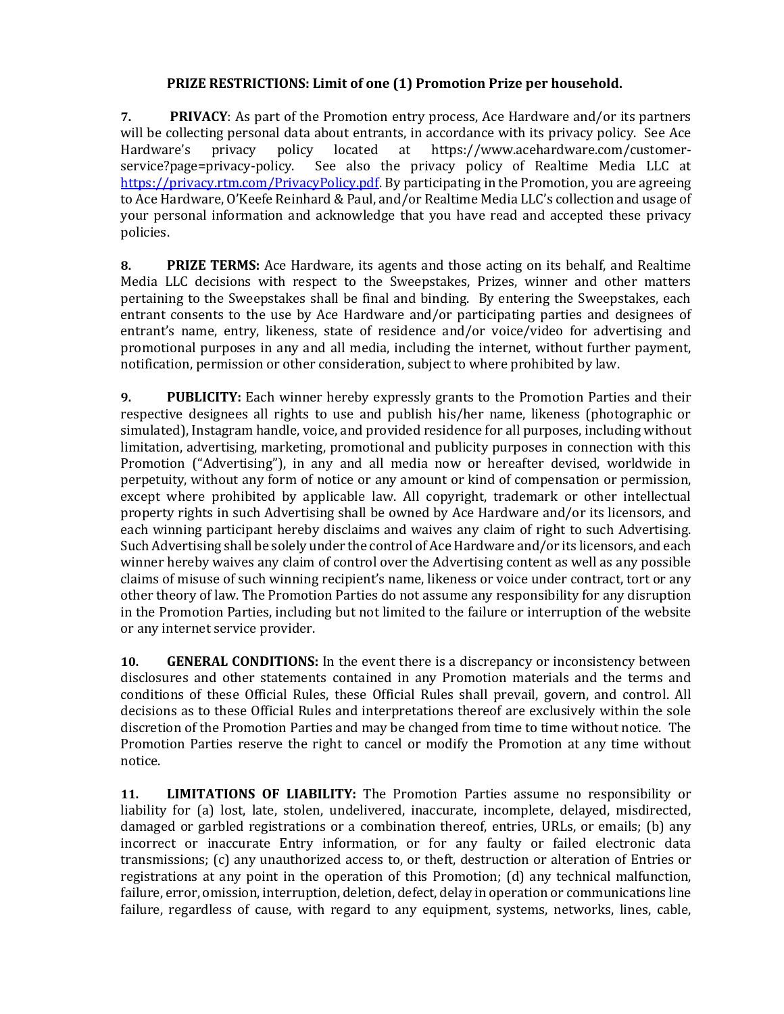## **PRIZE RESTRICTIONS: Limit of one (1) Promotion Prize per household.**

**7. PRIVACY**: As part of the Promotion entry process, Ace Hardware and/or its partners will be collecting personal data about entrants, in accordance with its privacy policy. See Ace Hardware's privacy policy located at https://www.acehardware.com/customerservice?page=privacy-policy. See also the privacy policy of Realtime Media LLC at [https://privacy.rtm.com/PrivacyPolicy.pdf.](https://privacy.rtm.com/PrivacyPolicy.pdf) By participating in the Promotion, you are agreeing to Ace Hardware, O'Keefe Reinhard & Paul, and/or Realtime Media LLC's collection and usage of your personal information and acknowledge that you have read and accepted these privacy policies.

**8. PRIZE TERMS:** Ace Hardware, its agents and those acting on its behalf, and Realtime Media LLC decisions with respect to the Sweepstakes, Prizes, winner and other matters pertaining to the Sweepstakes shall be final and binding. By entering the Sweepstakes, each entrant consents to the use by Ace Hardware and/or participating parties and designees of entrant's name, entry, likeness, state of residence and/or voice/video for advertising and promotional purposes in any and all media, including the internet, without further payment, notification, permission or other consideration, subject to where prohibited by law.

**9. PUBLICITY:** Each winner hereby expressly grants to the Promotion Parties and their respective designees all rights to use and publish his/her name, likeness (photographic or simulated), Instagram handle, voice, and provided residence for all purposes, including without limitation, advertising, marketing, promotional and publicity purposes in connection with this Promotion ("Advertising"), in any and all media now or hereafter devised, worldwide in perpetuity, without any form of notice or any amount or kind of compensation or permission, except where prohibited by applicable law. All copyright, trademark or other intellectual property rights in such Advertising shall be owned by Ace Hardware and/or its licensors, and each winning participant hereby disclaims and waives any claim of right to such Advertising. Such Advertising shall be solely under the control of Ace Hardware and/or its licensors, and each winner hereby waives any claim of control over the Advertising content as well as any possible claims of misuse of such winning recipient's name, likeness or voice under contract, tort or any other theory of law. The Promotion Parties do not assume any responsibility for any disruption in the Promotion Parties, including but not limited to the failure or interruption of the website or any internet service provider.

**10. GENERAL CONDITIONS:** In the event there is a discrepancy or inconsistency between disclosures and other statements contained in any Promotion materials and the terms and conditions of these Official Rules, these Official Rules shall prevail, govern, and control. All decisions as to these Official Rules and interpretations thereof are exclusively within the sole discretion of the Promotion Parties and may be changed from time to time without notice. The Promotion Parties reserve the right to cancel or modify the Promotion at any time without notice.

**11. LIMITATIONS OF LIABILITY:** The Promotion Parties assume no responsibility or liability for (a) lost, late, stolen, undelivered, inaccurate, incomplete, delayed, misdirected, damaged or garbled registrations or a combination thereof, entries, URLs, or emails; (b) any incorrect or inaccurate Entry information, or for any faulty or failed electronic data transmissions; (c) any unauthorized access to, or theft, destruction or alteration of Entries or registrations at any point in the operation of this Promotion; (d) any technical malfunction, failure, error, omission, interruption, deletion, defect, delay in operation or communications line failure, regardless of cause, with regard to any equipment, systems, networks, lines, cable,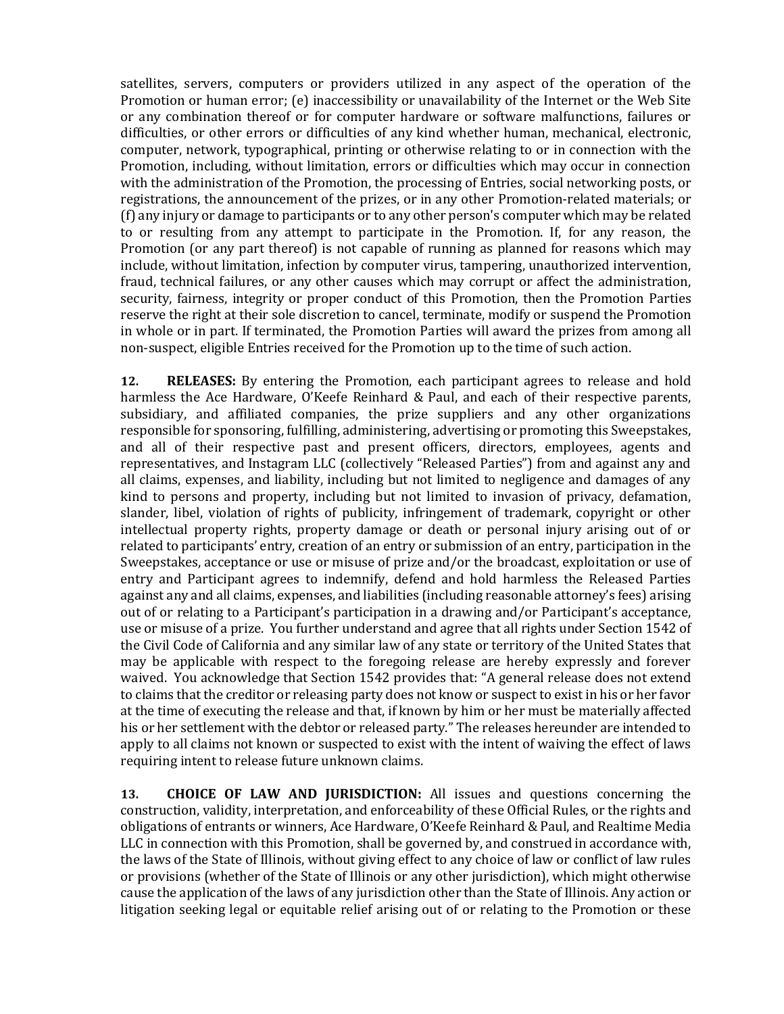satellites, servers, computers or providers utilized in any aspect of the operation of the Promotion or human error; (e) inaccessibility or unavailability of the Internet or the Web Site or any combination thereof or for computer hardware or software malfunctions, failures or difficulties, or other errors or difficulties of any kind whether human, mechanical, electronic, computer, network, typographical, printing or otherwise relating to or in connection with the Promotion, including, without limitation, errors or difficulties which may occur in connection with the administration of the Promotion, the processing of Entries, social networking posts, or registrations, the announcement of the prizes, or in any other Promotion-related materials; or (f) any injury or damage to participants or to any other person's computer which may be related to or resulting from any attempt to participate in the Promotion. If, for any reason, the Promotion (or any part thereof) is not capable of running as planned for reasons which may include, without limitation, infection by computer virus, tampering, unauthorized intervention, fraud, technical failures, or any other causes which may corrupt or affect the administration, security, fairness, integrity or proper conduct of this Promotion, then the Promotion Parties reserve the right at their sole discretion to cancel, terminate, modify or suspend the Promotion in whole or in part. If terminated, the Promotion Parties will award the prizes from among all non-suspect, eligible Entries received for the Promotion up to the time of such action.

**12. RELEASES:** By entering the Promotion, each participant agrees to release and hold harmless the Ace Hardware, O'Keefe Reinhard & Paul, and each of their respective parents, subsidiary, and affiliated companies, the prize suppliers and any other organizations responsible for sponsoring, fulfilling, administering, advertising or promoting this Sweepstakes, and all of their respective past and present officers, directors, employees, agents and representatives, and Instagram LLC (collectively "Released Parties") from and against any and all claims, expenses, and liability, including but not limited to negligence and damages of any kind to persons and property, including but not limited to invasion of privacy, defamation, slander, libel, violation of rights of publicity, infringement of trademark, copyright or other intellectual property rights, property damage or death or personal injury arising out of or related to participants' entry, creation of an entry or submission of an entry, participation in the Sweepstakes, acceptance or use or misuse of prize and/or the broadcast, exploitation or use of entry and Participant agrees to indemnify, defend and hold harmless the Released Parties against any and all claims, expenses, and liabilities (including reasonable attorney's fees) arising out of or relating to a Participant's participation in a drawing and/or Participant's acceptance, use or misuse of a prize. You further understand and agree that all rights under Section 1542 of the Civil Code of California and any similar law of any state or territory of the United States that may be applicable with respect to the foregoing release are hereby expressly and forever waived. You acknowledge that Section 1542 provides that: "A general release does not extend to claims that the creditor or releasing party does not know or suspect to exist in his or her favor at the time of executing the release and that, if known by him or her must be materially affected his or her settlement with the debtor or released party." The releases hereunder are intended to apply to all claims not known or suspected to exist with the intent of waiving the effect of laws requiring intent to release future unknown claims.

**13. CHOICE OF LAW AND JURISDICTION:** All issues and questions concerning the construction, validity, interpretation, and enforceability of these Official Rules, or the rights and obligations of entrants or winners, Ace Hardware, O'Keefe Reinhard & Paul, and Realtime Media LLC in connection with this Promotion, shall be governed by, and construed in accordance with, the laws of the State of Illinois, without giving effect to any choice of law or conflict of law rules or provisions (whether of the State of Illinois or any other jurisdiction), which might otherwise cause the application of the laws of any jurisdiction other than the State of Illinois. Any action or litigation seeking legal or equitable relief arising out of or relating to the Promotion or these